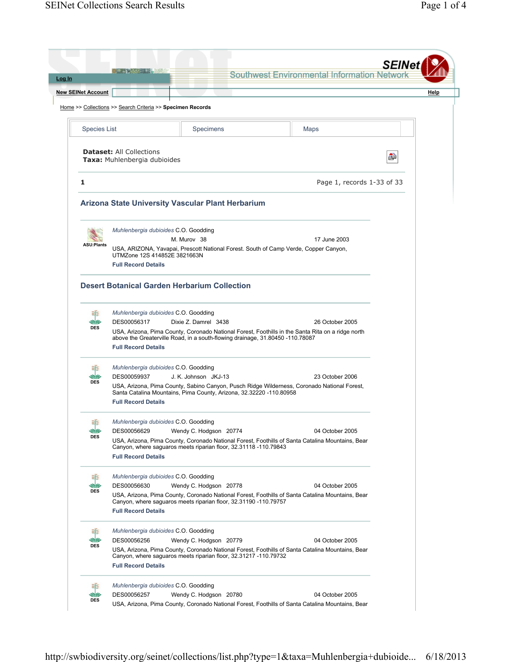| <b>New SEINet Account</b>     |                                                                                                    |                                                                                                                                                                                                            |                            | Help |
|-------------------------------|----------------------------------------------------------------------------------------------------|------------------------------------------------------------------------------------------------------------------------------------------------------------------------------------------------------------|----------------------------|------|
|                               | Home >> Collections >> Search Criteria >> Specimen Records                                         |                                                                                                                                                                                                            |                            |      |
| <b>Species List</b>           |                                                                                                    | Specimens                                                                                                                                                                                                  | <b>Maps</b>                |      |
|                               | <b>Dataset: All Collections</b><br>Taxa: Muhlenbergia dubioides                                    |                                                                                                                                                                                                            |                            | ė    |
| 1                             |                                                                                                    |                                                                                                                                                                                                            | Page 1, records 1-33 of 33 |      |
|                               |                                                                                                    | Arizona State University Vascular Plant Herbarium                                                                                                                                                          |                            |      |
| <b>ASU:Plants</b>             | Muhlenbergia dubioides C.O. Goodding<br>UTMZone 12S 414852E 3821663N<br><b>Full Record Details</b> | M. Murov 38<br>USA, ARIZONA, Yavapai, Prescott National Forest. South of Camp Verde, Copper Canyon,                                                                                                        | 17 June 2003               |      |
|                               |                                                                                                    | <b>Desert Botanical Garden Herbarium Collection</b>                                                                                                                                                        |                            |      |
| es:<br>MØ<br><b>DES</b>       | Muhlenbergia dubioides C.O. Goodding<br>DES00056317<br><b>Full Record Details</b>                  | Dixie Z. Damrel 3438<br>USA, Arizona, Pima County, Coronado National Forest, Foothills in the Santa Rita on a ridge north<br>above the Greaterville Road, in a south-flowing drainage, 31.80450 -110.78087 | 26 October 2005            |      |
| se<br>JØ<br><b>DES</b>        | Muhlenbergia dubioides C.O. Goodding<br>DES00059937<br><b>Full Record Details</b>                  | J. K. Johnson JKJ-13<br>USA, Arizona, Pima County, Sabino Canyon, Pusch Ridge Wilderness, Coronado National Forest,<br>Santa Catalina Mountains, Pima County, Arizona, 32.32220 -110.80958                 | 23 October 2006            |      |
| <b>SE</b><br>JG<br><b>DES</b> | Muhlenbergia dubioides C.O. Goodding<br>DES00056629<br><b>Full Record Details</b>                  | Wendy C. Hodgson 20774<br>USA, Arizona, Pima County, Coronado National Forest, Foothills of Santa Catalina Mountains, Bear<br>Canyon, where saguaros meets riparian floor, 32.31118 -110.79843             | 04 October 2005            |      |
| <b>SE</b><br>V<br><b>DES</b>  | Muhlenbergia dubioides C.O. Goodding<br>DES00056630<br><b>Full Record Details</b>                  | Wendy C. Hodgson 20778<br>USA, Arizona, Pima County, Coronado National Forest, Foothills of Santa Catalina Mountains, Bear<br>Canyon, where saguaros meets riparian floor, 32.31190 -110.79757             | 04 October 2005            |      |
| se<br><b>DES</b>              | Muhlenbergia dubioides C.O. Goodding<br>DES00056256<br><b>Full Record Details</b>                  | Wendy C. Hodgson 20779<br>USA, Arizona, Pima County, Coronado National Forest, Foothills of Santa Catalina Mountains, Bear<br>Canyon, where saguaros meets riparian floor, 32.31217 -110.79732             | 04 October 2005            |      |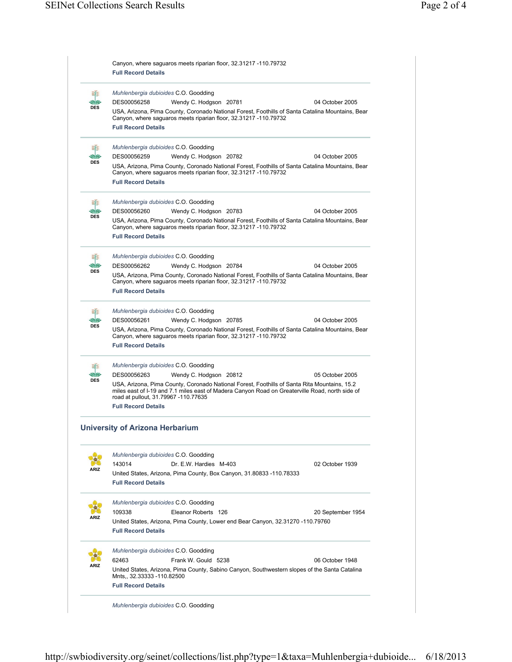|                  | Canyon, where saguaros meets riparian floor, 32.31217 -110.79732<br><b>Full Record Details</b>                                                                                                                                                                        |
|------------------|-----------------------------------------------------------------------------------------------------------------------------------------------------------------------------------------------------------------------------------------------------------------------|
| N.               | Muhlenbergia dubioides C.O. Goodding                                                                                                                                                                                                                                  |
| u<br><b>DES</b>  | Wendy C. Hodgson 20781<br>DES00056258<br>04 October 2005                                                                                                                                                                                                              |
|                  | USA, Arizona, Pima County, Coronado National Forest, Foothills of Santa Catalina Mountains, Bear<br>Canyon, where saguaros meets riparian floor, 32.31217 -110.79732<br><b>Full Record Details</b>                                                                    |
| S.<br><b>DES</b> | Muhlenbergia dubioides C.O. Goodding                                                                                                                                                                                                                                  |
|                  | DES00056259<br>04 October 2005<br>Wendy C. Hodgson 20782                                                                                                                                                                                                              |
|                  | USA, Arizona, Pima County, Coronado National Forest, Foothills of Santa Catalina Mountains, Bear<br>Canyon, where saguaros meets riparian floor, 32.31217 -110.79732<br><b>Full Record Details</b>                                                                    |
|                  | Muhlenbergia dubioides C.O. Goodding                                                                                                                                                                                                                                  |
|                  | DES00056260<br>Wendy C. Hodgson 20783<br>04 October 2005                                                                                                                                                                                                              |
| <b>DES</b>       | USA, Arizona, Pima County, Coronado National Forest, Foothills of Santa Catalina Mountains, Bear<br>Canyon, where saguaros meets riparian floor, 32.31217 -110.79732<br><b>Full Record Details</b>                                                                    |
|                  |                                                                                                                                                                                                                                                                       |
| SE.<br>MØ        | Muhlenbergia dubioides C.O. Goodding                                                                                                                                                                                                                                  |
| <b>DES</b>       | DES00056262<br>Wendy C. Hodgson 20784<br>04 October 2005<br>USA, Arizona, Pima County, Coronado National Forest, Foothills of Santa Catalina Mountains, Bear                                                                                                          |
|                  | Canyon, where saguaros meets riparian floor, 32.31217 -110.79732<br><b>Full Record Details</b>                                                                                                                                                                        |
|                  | Muhlenbergia dubioides C.O. Goodding                                                                                                                                                                                                                                  |
|                  | Wendy C. Hodgson 20785<br>DES00056261<br>04 October 2005                                                                                                                                                                                                              |
| <b>DES</b>       | USA, Arizona, Pima County, Coronado National Forest, Foothills of Santa Catalina Mountains, Bear<br>Canyon, where saguaros meets riparian floor, 32.31217 -110.79732<br><b>Full Record Details</b>                                                                    |
| S.               | Muhlenbergia dubioides C.O. Goodding                                                                                                                                                                                                                                  |
| VØ               | DES00056263<br>Wendy C. Hodgson 20812<br>05 October 2005                                                                                                                                                                                                              |
| <b>DES</b>       | USA, Arizona, Pima County, Coronado National Forest, Foothills of Santa Rita Mountains, 15.2<br>miles east of I-19 and 7.1 miles east of Madera Canyon Road on Greaterville Road, north side of<br>road at pullout, 31.79967 -110.77635<br><b>Full Record Details</b> |
|                  | <b>University of Arizona Herbarium</b>                                                                                                                                                                                                                                |
|                  | Muhlenbergia dubioides C.O. Goodding                                                                                                                                                                                                                                  |
|                  | 143014<br>Dr. E.W. Hardies M-403<br>02 October 1939                                                                                                                                                                                                                   |
| \RI7             | United States, Arizona, Pima County, Box Canyon, 31.80833 -110.78333                                                                                                                                                                                                  |
|                  | <b>Full Record Details</b>                                                                                                                                                                                                                                            |
|                  | Muhlenbergia dubioides C.O. Goodding                                                                                                                                                                                                                                  |
|                  | 109338<br>Eleanor Roberts 126<br>20 September 1954                                                                                                                                                                                                                    |
|                  | United States, Arizona, Pima County, Lower end Bear Canyon, 32.31270 -110.79760<br><b>Full Record Details</b>                                                                                                                                                         |
|                  | Muhlenbergia dubioides C.O. Goodding                                                                                                                                                                                                                                  |
| <b>\RIZ</b>      | 62463<br>Frank W. Gould 5238<br>06 October 1948                                                                                                                                                                                                                       |
|                  | United States, Arizona, Pima County, Sabino Canyon, Southwestern slopes of the Santa Catalina                                                                                                                                                                         |
|                  | Mnts,, 32.33333 - 110.82500                                                                                                                                                                                                                                           |
|                  | <b>Full Record Details</b>                                                                                                                                                                                                                                            |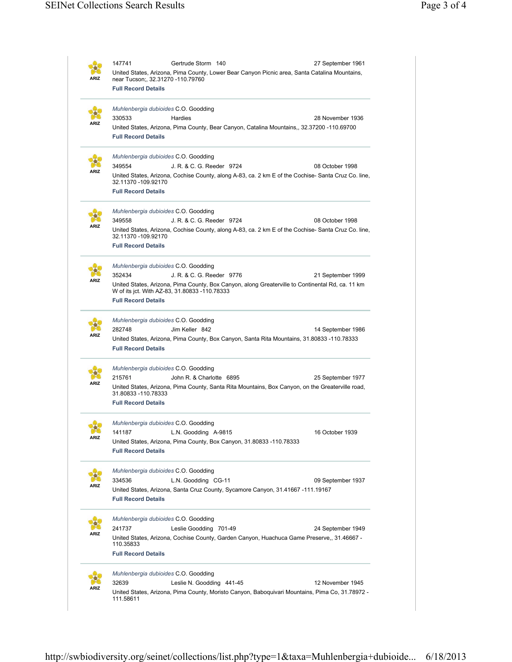| ARIZ        | 147741<br>Gertrude Storm 140<br>near Tucson;, 32.31270 -110.79760                                  | 27 September 1961<br>United States, Arizona, Pima County, Lower Bear Canyon Picnic area, Santa Catalina Mountains,    |
|-------------|----------------------------------------------------------------------------------------------------|-----------------------------------------------------------------------------------------------------------------------|
|             | <b>Full Record Details</b>                                                                         |                                                                                                                       |
| ARIZ        | Muhlenbergia dubioides C.O. Goodding<br>330533<br>Hardies                                          | 28 November 1936                                                                                                      |
|             | <b>Full Record Details</b>                                                                         | United States, Arizona, Pima County, Bear Canyon, Catalina Mountains,, 32.37200 -110.69700                            |
|             | Muhlenbergia dubioides C.O. Goodding                                                               |                                                                                                                       |
| ARIZ        | 349554<br>J. R. & C. G. Reeder 9724<br>32.11370 -109.92170                                         | 08 October 1998<br>United States, Arizona, Cochise County, along A-83, ca. 2 km E of the Cochise-Santa Cruz Co. line, |
|             | <b>Full Record Details</b>                                                                         |                                                                                                                       |
|             | Muhlenbergia dubioides C.O. Goodding                                                               |                                                                                                                       |
|             | 349558<br>J. R. & C. G. Reeder 9724                                                                | 08 October 1998                                                                                                       |
| <b>\RIZ</b> | 32.11370 -109.92170<br><b>Full Record Details</b>                                                  | United States, Arizona, Cochise County, along A-83, ca. 2 km E of the Cochise- Santa Cruz Co. line,                   |
|             | Muhlenbergia dubioides C.O. Goodding                                                               |                                                                                                                       |
|             | 352434<br>J. R. & C. G. Reeder 9776                                                                | 21 September 1999                                                                                                     |
| ARIZ        | W of its jct. With AZ-83, 31.80833 -110.78333                                                      | United States, Arizona, Pima County, Box Canyon, along Greaterville to Continental Rd, ca. 11 km                      |
|             | <b>Full Record Details</b>                                                                         |                                                                                                                       |
|             |                                                                                                    |                                                                                                                       |
|             | Muhlenbergia dubioides C.O. Goodding<br>282748<br>Jim Keller 842                                   | 14 September 1986                                                                                                     |
| ARIZ        | <b>Full Record Details</b>                                                                         | United States, Arizona, Pima County, Box Canyon, Santa Rita Mountains, 31.80833 -110.78333                            |
|             | Muhlenbergia dubioides C.O. Goodding                                                               |                                                                                                                       |
| ARIZ        | 215761<br>John R. & Charlotte 6895                                                                 | 25 September 1977                                                                                                     |
|             | 31.80833 -110.78333<br><b>Full Record Details</b>                                                  | United States, Arizona, Pima County, Santa Rita Mountains, Box Canyon, on the Greaterville road,                      |
|             | Muhlenbergia dubioides C.O. Goodding                                                               |                                                                                                                       |
| ARIZ        | L.N. Goodding A-9815<br>141187                                                                     | 16 October 1939                                                                                                       |
|             | United States, Arizona, Pima County, Box Canyon, 31.80833 -110.78333<br><b>Full Record Details</b> |                                                                                                                       |
|             | Muhlenbergia dubioides C.O. Goodding                                                               |                                                                                                                       |
| ARIZ        | 334536<br>L.N. Goodding CG-11                                                                      | 09 September 1937                                                                                                     |
|             |                                                                                                    | United States, Arizona, Santa Cruz County, Sycamore Canyon, 31.41667 -111.19167                                       |
|             | <b>Full Record Details</b>                                                                         |                                                                                                                       |
|             | Muhlenbergia dubioides C.O. Goodding                                                               |                                                                                                                       |
| ARIZ        | 241737<br>Leslie Goodding 701-49                                                                   | 24 September 1949                                                                                                     |
|             | 110.35833                                                                                          | United States, Arizona, Cochise County, Garden Canyon, Huachuca Game Preserve,, 31.46667 -                            |
|             | <b>Full Record Details</b>                                                                         |                                                                                                                       |
|             | Muhlenbergia dubioides C.O. Goodding                                                               |                                                                                                                       |
|             |                                                                                                    |                                                                                                                       |
| \RIZ        | 32639<br>Leslie N. Goodding 441-45                                                                 | 12 November 1945                                                                                                      |